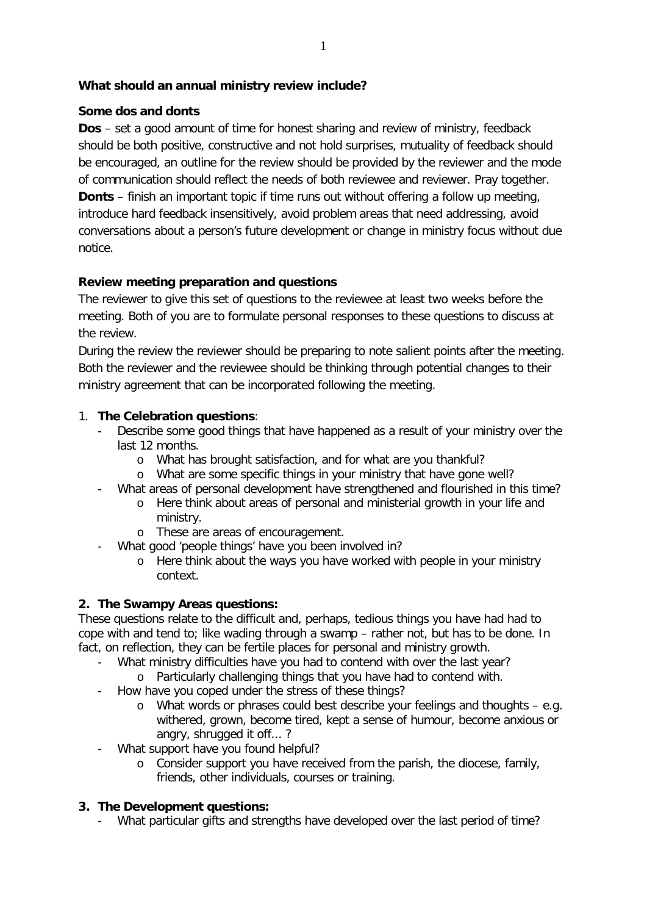# **What should an annual ministry review include?**

#### **Some dos and donts**

**Dos** – set a good amount of time for honest sharing and review of ministry, feedback should be both positive, constructive and not hold surprises, mutuality of feedback should be encouraged, an outline for the review should be provided by the reviewer and the mode of communication should reflect the needs of both reviewee and reviewer. Pray together. **Donts** – finish an important topic if time runs out without offering a follow up meeting, introduce hard feedback insensitively, avoid problem areas that need addressing, avoid conversations about a person's future development or change in ministry focus without due notice.

# **Review meeting preparation and questions**

The reviewer to give this set of questions to the reviewee at least two weeks before the meeting. Both of you are to formulate personal responses to these questions to discuss at the review.

During the review the reviewer should be preparing to note salient points after the meeting. Both the reviewer and the reviewee should be thinking through potential changes to their ministry agreement that can be incorporated following the meeting.

# 1. **The Celebration questions**:

- Describe some good things that have happened as a result of your ministry over the last 12 months.
	- o What has brought satisfaction, and for what are you thankful?
	- o What are some specific things in your ministry that have gone well?
- What areas of personal development have strengthened and flourished in this time?
	- o Here think about areas of personal and ministerial growth in your life and ministry.
	- o These are areas of encouragement.
- What good 'people things' have you been involved in?
	- o Here think about the ways you have worked with people in your ministry context.

#### **2. The Swampy Areas questions:**

These questions relate to the difficult and, perhaps, tedious things you have had had to cope with and tend to; like wading through a swamp – rather not, but has to be done. In fact, on reflection, they can be fertile places for personal and ministry growth.

- What ministry difficulties have you had to contend with over the last year?
	- o Particularly challenging things that you have had to contend with.
- How have you coped under the stress of these things?
	- o What words or phrases could best describe your feelings and thoughts e.g. withered, grown, become tired, kept a sense of humour, become anxious or angry, shrugged it off...?
- What support have you found helpful?
	- o Consider support you have received from the parish, the diocese, family, friends, other individuals, courses or training.

# **3. The Development questions:**

- What particular gifts and strengths have developed over the last period of time?